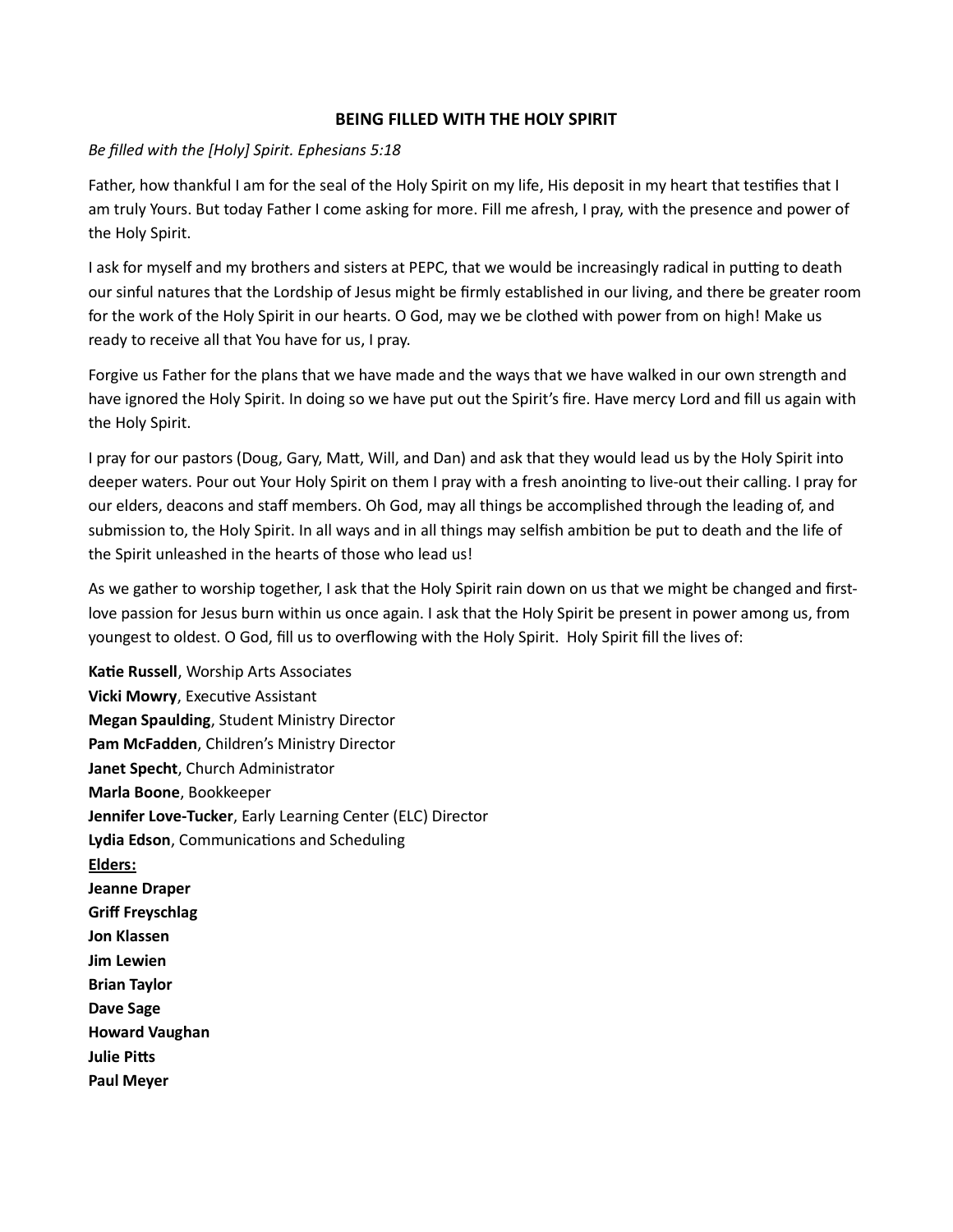## BEING FILLED WITH THE HOLY SPIRIT

## Be filled with the [Holy] Spirit. Ephesians 5:18

Father, how thankful I am for the seal of the Holy Spirit on my life, His deposit in my heart that testifies that I am truly Yours. But today Father I come asking for more. Fill me afresh, I pray, with the presence and power of the Holy Spirit.

I ask for myself and my brothers and sisters at PEPC, that we would be increasingly radical in putting to death our sinful natures that the Lordship of Jesus might be firmly established in our living, and there be greater room for the work of the Holy Spirit in our hearts. O God, may we be clothed with power from on high! Make us ready to receive all that You have for us, I pray.

Forgive us Father for the plans that we have made and the ways that we have walked in our own strength and have ignored the Holy Spirit. In doing so we have put out the Spirit's fire. Have mercy Lord and fill us again with the Holy Spirit.

I pray for our pastors (Doug, Gary, Matt, Will, and Dan) and ask that they would lead us by the Holy Spirit into deeper waters. Pour out Your Holy Spirit on them I pray with a fresh anointing to live-out their calling. I pray for our elders, deacons and staff members. Oh God, may all things be accomplished through the leading of, and submission to, the Holy Spirit. In all ways and in all things may selfish ambition be put to death and the life of the Spirit unleashed in the hearts of those who lead us!

As we gather to worship together, I ask that the Holy Spirit rain down on us that we might be changed and firstlove passion for Jesus burn within us once again. I ask that the Holy Spirit be present in power among us, from youngest to oldest. O God, fill us to overflowing with the Holy Spirit. Holy Spirit fill the lives of:

Katie Russell, Worship Arts Associates Vicki Mowry, Executive Assistant Megan Spaulding, Student Ministry Director Pam McFadden, Children's Ministry Director Janet Specht, Church Administrator Marla Boone, Bookkeeper Jennifer Love-Tucker, Early Learning Center (ELC) Director Lydia Edson, Communications and Scheduling Elders: Jeanne Draper Griff Freyschlag Jon Klassen Jim Lewien Brian Taylor Dave Sage Howard Vaughan **Julie Pitts** Paul Meyer